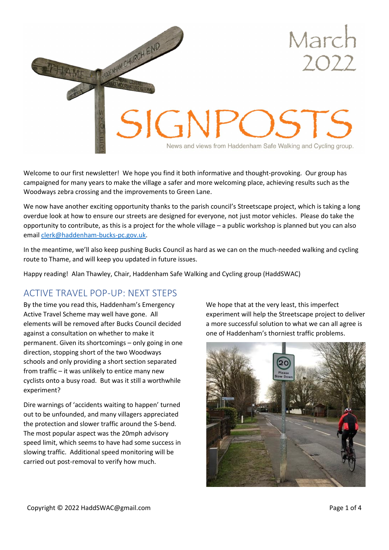

Welcome to our first newsletter! We hope you find it both informative and thought-provoking. Our group has campaigned for many years to make the village a safer and more welcoming place, achieving results such as the Woodways zebra crossing and the improvements to Green Lane.

We now have another exciting opportunity thanks to the parish council's Streetscape project, which is taking a long overdue look at how to ensure our streets are designed for everyone, not just motor vehicles. Please do take the opportunity to contribute, as this is a project for the whole village – a public workshop is planned but you can also email [clerk@haddenham-bucks-pc.gov.uk.](mailto:clerk@haddenham-bucks-pc.gov.uk?subject=Streetscape%20views)

In the meantime, we'll also keep pushing Bucks Council as hard as we can on the much-needed walking and cycling route to Thame, and will keep you updated in future issues.

Happy reading! Alan Thawley, Chair, Haddenham Safe Walking and Cycling group (HaddSWAC)

# ACTIVE TRAVEL POP-UP: NEXT STEPS

By the time you read this, Haddenham's Emergency Active Travel Scheme may well have gone. All elements will be removed after Bucks Council decided against a consultation on whether to make it permanent. Given its shortcomings – only going in one direction, stopping short of the two Woodways schools and only providing a short section separated from traffic – it was unlikely to entice many new cyclists onto a busy road. But was it still a worthwhile experiment?

Dire warnings of 'accidents waiting to happen' turned out to be unfounded, and many villagers appreciated the protection and slower traffic around the S-bend. The most popular aspect was the 20mph advisory speed limit, which seems to have had some success in slowing traffic. Additional speed monitoring will be carried out post-removal to verify how much.

We hope that at the very least, this imperfect experiment will help the Streetscape project to deliver a more successful solution to what we can all agree is one of Haddenham's thorniest traffic problems.

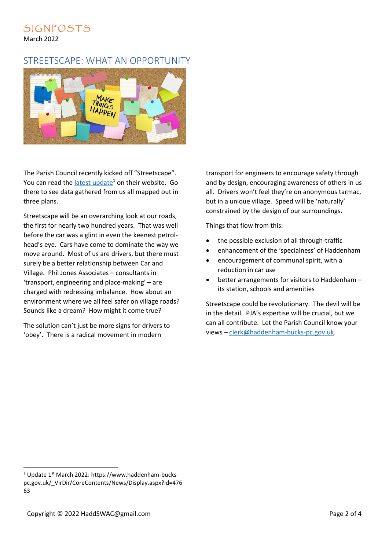#### SIGNPOSTS March 2022

### STREETSCAPE: WHAT AN OPPORTUNITY



The Parish Council recently kicked off "Streetscape". You can read the [latest update](https://www.haddenham-bucks-pc.gov.uk/_VirDir/CoreContents/News/Display.aspx?id=47663) $1$  on their website. Go there to see data gathered from us all mapped out in three plans.

Streetscape will be an overarching look at our roads, the first for nearly two hundred years. That was well before the car was a glint in even the keenest petrolhead's eye. Cars have come to dominate the way we move around. Most of us are drivers, but there must surely be a better relationship between Car and Village. Phil Jones Associates – consultants in 'transport, engineering and place-making' – are charged with redressing imbalance. How about an environment where we all feel safer on village roads? Sounds like a dream? How might it come true?

The solution can't just be more signs for drivers to 'obey'. There is a radical movement in modern

transport for engineers to encourage safety through and by design, encouraging awareness of others in us all. Drivers won't feel they're on anonymous tarmac, but in a unique village. Speed will be 'naturally' constrained by the design of our surroundings.

Things that flow from this:

- the possible exclusion of all through-traffic
- enhancement of the 'specialness' of Haddenham
- encouragement of communal spirit, with a reduction in car use
- better arrangements for visitors to Haddenham its station, schools and amenities

Streetscape could be revolutionary. The devil will be in the detail. PJA's expertise will be crucial, but we can all contribute. Let the Parish Council know your views – [clerk@haddenham-bucks-pc.gov.uk.](mailto:clerk@haddenham-bucks-pc.gov.uk?subject=Streetscape%20views)

<sup>&</sup>lt;sup>1</sup> Update 1<sup>st</sup> March 2022: https://www.haddenham-buckspc.gov.uk/\_VirDir/CoreContents/News/Display.aspx?id=476 63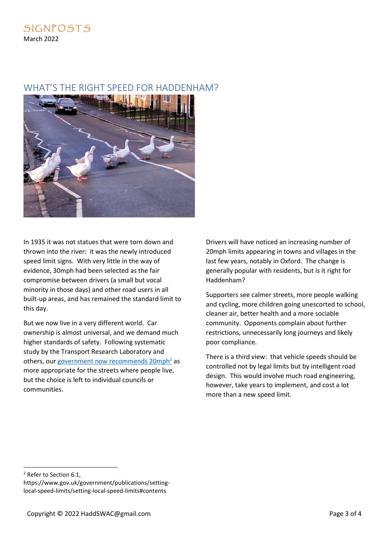## WHAT'S THE RIGHT SPEED FOR HADDENHAM?



In 1935 it was not statues that were torn down and thrown into the river: it was the newly introduced speed limit signs. With very little in the way of evidence, 30mph had been selected as the fair compromise between drivers (a small but vocal minority in those days) and other road users in all built-up areas, and has remained the standard limit to this day.

But we now live in a very different world. Car ownership is almost universal, and we demand much higher standards of safety. Following systematic study by the Transport Research Laboratory and others, our government now recommends  $20$ mph<sup>2</sup> as more appropriate for the streets where people live, but the choice is left to individual councils or communities.

Drivers will have noticed an increasing number of 20mph limits appearing in towns and villages in the last few years, notably in Oxford. The change is generally popular with residents, but is it right for Haddenham?

Supporters see calmer streets, more people walking and cycling, more children going unescorted to school, cleaner air, better health and a more sociable community. Opponents complain about further restrictions, unnecessarily long journeys and likely poor compliance.

There is a third view: that vehicle speeds should be controlled not by legal limits but by intelligent road design. This would involve much road engineering, however, take years to implement, and cost a lot more than a new speed limit.

<sup>2</sup> Refer to Section 6.1,

https://www.gov.uk/government/publications/settinglocal-speed-limits/setting-local-speed-limits#contents